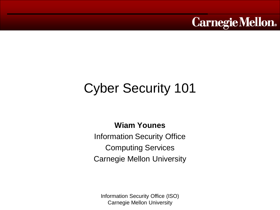

# Cyber Security 101

**Wiam Younes**

Information Security Office Computing Services Carnegie Mellon University

Information Security Office (ISO) Carnegie Mellon University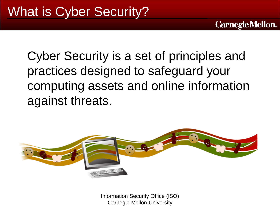Cyber Security is a set of principles and practices designed to safeguard your computing assets and online information against threats.

**Carnegie Mellon.** 



Information Security Office (ISO) Carnegie Mellon University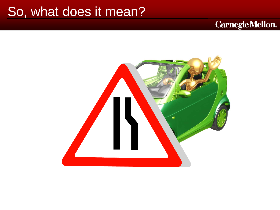### So, what does it mean?

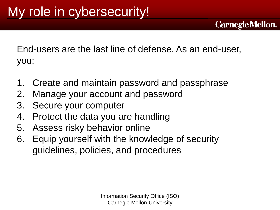End-users are the last line of defense. As an end-user, you;

- 1. Create and maintain password and passphrase
- 2. Manage your account and password
- 3. Secure your computer
- 4. Protect the data you are handling
- 5. Assess risky behavior online
- 6. Equip yourself with the knowledge of security guidelines, policies, and procedures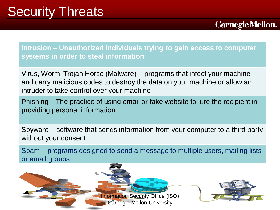### Security Threats

**Intrusion – Unauthorized individuals trying to gain access to computer systems in order to steal information** 

**Carnegie Mellon.** 

Virus, Worm, Trojan Horse (Malware) – programs that infect your machine and carry malicious codes to destroy the data on your machine or allow an intruder to take control over your machine

Phishing – The practice of using email or fake website to lure the recipient in providing personal information

Spyware – software that sends information from your computer to a third party without your consent

Spam – programs designed to send a message to multiple users, mailing lists or email groups

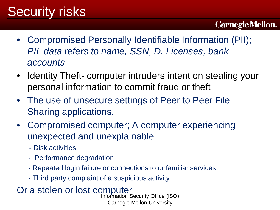## Security risks

### **Carnegie Mellon.**

- Compromised Personally Identifiable Information (PII); *PII data refers to name, SSN, D. Licenses, bank accounts*
- Identity Theft- computer intruders intent on stealing your personal information to commit fraud or theft
- The use of unsecure settings of Peer to Peer File Sharing applications.
- Compromised computer; A computer experiencing unexpected and unexplainable
	- Disk activities
	- Performance degradation
	- Repeated login failure or connections to unfamiliar services
	- Third party complaint of a suspicious activity

Or a stolen or lost computer<br>Information Security Office (ISO) Carnegie Mellon University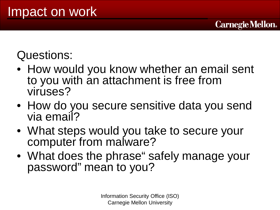Questions:

• How would you know whether an email sent to you with an attachment is free from viruses?

- How do you secure sensitive data you send via email?
- What steps would you take to secure your computer from malware?
- What does the phrase" safely manage your password" mean to you?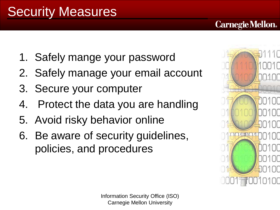- 1. Safely mange your password
- 2. Safely manage your email account
- 3. Secure your computer
- 4. Protect the data you are handling
- 5. Avoid risky behavior online
- 6. Be aware of security guidelines, policies, and procedures

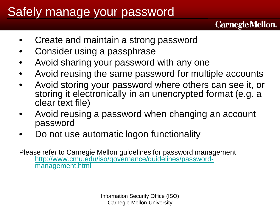### Safely manage your password

• Create and maintain a strong password

- Consider using a passphrase
- Avoid sharing your password with any one
- Avoid reusing the same password for multiple accounts

**Carnegie Mellon.** 

- Avoid storing your password where others can see it, or storing it electronically in an unencrypted format (e.g. a clear text file)
- Avoid reusing a password when changing an account password
- Do not use automatic logon functionality

Please refer to Carnegie Mellon guidelines for password management [http://www.cmu.edu/iso/governance/guidelines/password-](http://www.cmu.edu/iso/governance/guidelines/password-management.html)<br>[management.html](http://www.cmu.edu/iso/governance/guidelines/password-management.html)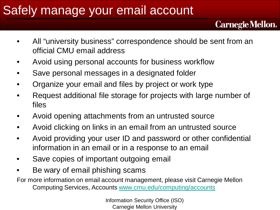### Safely manage your email account

**Carnegie Mellon.** 

- All "university business" correspondence should be sent from an official CMU email address
- Avoid using personal accounts for business workflow
- Save personal messages in a designated folder
- Organize your email and files by project or work type
- Request additional file storage for projects with large number of files
- Avoid opening attachments from an untrusted source
- Avoid clicking on links in an email from an untrusted source
- Avoid providing your user ID and password or other confidential information in an email or in a response to an email
- Save copies of important outgoing email
- Be wary of email phishing scams

For more information on email account management, please visit Carnegie Mellon Computing Services, Accounts [www.cmu.edu/computing/accounts](http://www.cmu.edu/computing/accounts)

> Information Security Office (ISO) Carnegie Mellon University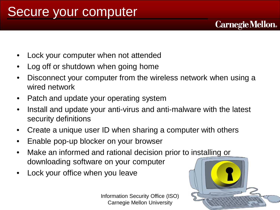- Lock your computer when not attended
- Log off or shutdown when going home
- Disconnect your computer from the wireless network when using a wired network
- Patch and update your operating system
- Install and update your anti-virus and anti-malware with the latest security definitions
- Create a unique user ID when sharing a computer with others
- Enable pop-up blocker on your browser
- Make an informed and rational decision prior to installing or downloading software on your computer
- Lock your office when you leave

Information Security Office (ISO) Carnegie Mellon University

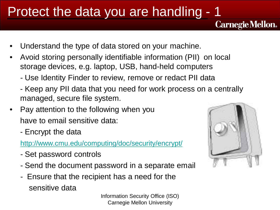### Protect the data you are handling - 1

- Understand the type of data stored on your machine.
- Avoid storing personally identifiable information (PII) on local storage devices, e.g. laptop, USB, hand-held computers
	- *-* Use Identity Finder to review, remove or redact PII data
	- Keep any PII data that you need for work process on a centrally managed, secure file system.
- Pay attention to the following when you have to email sensitive data:
	- Encrypt the data

<http://www.cmu.edu/computing/doc/security/encrypt/>

- Set password controls
- Send the document password in a separate email
- Ensure that the recipient has a need for the sensitive data

Information Security Office (ISO) Carnegie Mellon University

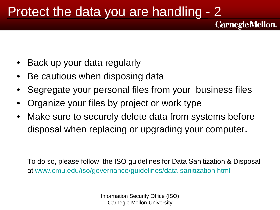### Protect the data you are handling - 2

- Back up your data regularly
- Be cautious when disposing data
- Segregate your personal files from your business files

**Carnegie Mellon.** 

- Organize your files by project or work type
- Make sure to securely delete data from systems before disposal when replacing or upgrading your computer.

To do so, please follow the ISO guidelines for Data Sanitization & Disposal at [www.cmu.edu/iso/governance/guidelines/data-sanitization.html](http://www.cmu.edu/iso/governance/guidelines/data-sanitization.html)

> Information Security Office (ISO) Carnegie Mellon University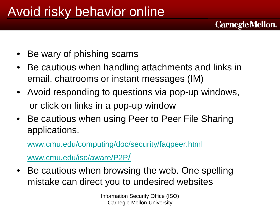## Avoid risky behavior online

- Be wary of phishing scams
- Be cautious when handling attachments and links in email, chatrooms or instant messages (IM)

**Carnegie Mellon.** 

- Avoid responding to questions via pop-up windows, or click on links in a pop-up window
- Be cautious when using Peer to Peer File Sharing applications.

[www.cmu.edu/computing/doc/security/faqpeer.html](http://www.cmu.edu/computing/doc/security/faqpeer.html)

[www.cmu.edu/iso/aware/P2P/](http://www.cmu.edu/iso/aware/P2P/)

• Be cautious when browsing the web. One spelling mistake can direct you to undesired websites

> Information Security Office (ISO) Carnegie Mellon University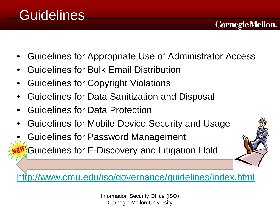### **Guidelines**

• Guidelines for Appropriate Use of Administrator Access

**Carnegie Mellon.** 

- Guidelines for Bulk Email Distribution
- Guidelines for Copyright Violations
- Guidelines for Data Sanitization and Disposal
- Guidelines for Data Protection
- Guidelines for Mobile Device Security and Usage
- Guidelines for Password Management
	- **Guidelines for E-Discovery and Litigation Hold**

<http://www.cmu.edu/iso/governance/guidelines/index.html>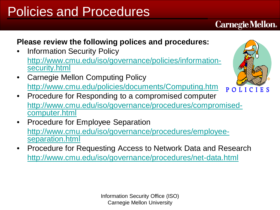## Policies and Procedures

### **Please review the following polices and procedures:**

- Information Security Policy [http://www.cmu.edu/iso/governance/policies/information-](http://www.cmu.edu/iso/governance/policies/information-security.html)<br>[security.html](http://www.cmu.edu/iso/governance/policies/information-security.html)
- Carnegie Mellon Computing Policy <http://www.cmu.edu/policies/documents/Computing.htm>
- Procedure for Responding to a compromised computer [http://www.cmu.edu/iso/governance/procedures/compromised-](http://www.cmu.edu/iso/governance/procedures/compromised-computer.html) [computer.html](http://www.cmu.edu/iso/governance/procedures/compromised-computer.html)
- Procedure for Employee Separation [http://www.cmu.edu/iso/governance/procedures/employee-](http://www.cmu.edu/iso/governance/procedures/employee-separation.html)<br>[separation.html](http://www.cmu.edu/iso/governance/procedures/employee-separation.html)
- Procedure for Requesting Access to Network Data and Research <http://www.cmu.edu/iso/governance/procedures/net-data.html>



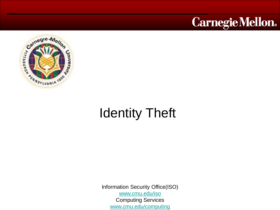



## Identity Theft

Information Security Office(ISO) [www.cmu.edu/iso](http://www.cmu.edu/iso) Computing Services [www.cmu.edu/computing](http://www.cmu.edu/computing)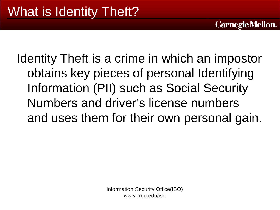Identity Theft is a crime in which an impostor obtains key pieces of personal Identifying Information (PII) such as Social Security Numbers and driver's license numbers and uses them for their own personal gain.

**Carnegie Mellon.** 

Information Security Office(ISO) www.cmu.edu/iso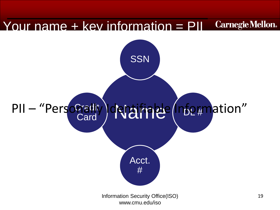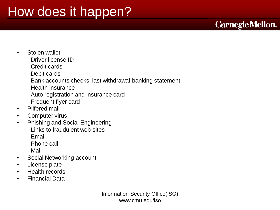### How does it happen?

### **Carnegie Mellon.**

- Stolen wallet
	- Driver license ID
	- Credit cards
	- Debit cards
	- Bank accounts checks; last withdrawal banking statement
	- Health insurance
	- Auto registration and insurance card
	- Frequent flyer card
- Pilfered mail
- Computer virus
- Phishing and Social Engineering
	- Links to fraudulent web sites
	- Email
	- Phone call
	- Mail
- Social Networking account
- License plate
- Health records
- Financial Data

Information Security Office(ISO) www.cmu.edu/iso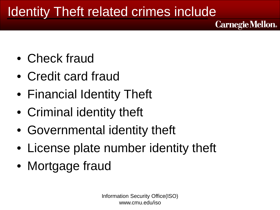## Identity Theft related crimes include

- Check fraud
- Credit card fraud
- Financial Identity Theft
- Criminal identity theft
- Governmental identity theft
- License plate number identity theft
- Mortgage fraud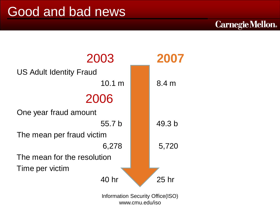### Good and bad news

### 2003 **2007** US Adult Identity Fraud 10.1 m 8.4 m 2006 One year fraud amount 55.7 b 49.3 b The mean per fraud victim 6,278 5,720 The mean for the resolution Time per victim 40 hr 25 hr

Information Security Office(ISO) www.cmu.edu/iso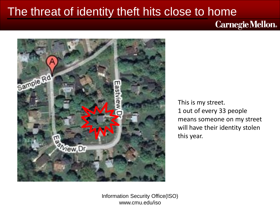### The threat of identity theft hits close to home

**Carnegie Mellon.** 



This is my street. 1 out of every 33 people means someone on my street will have their identity stolen this year.

Information Security Office(ISO) www.cmu.edu/iso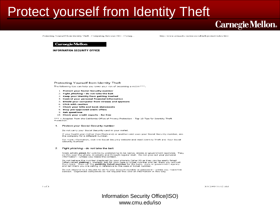### Protect yourself from Identity Theft

### **Carnegie Mellon.**

Protecting Yourself from Identity Theft - Computing Services ISO - Carneg...

http://www.cmu.edu/iso/aware/idtheft/protect/index.html

### **Carnegie Mellon**

**INFORMATION SECURITY OFFICE** 

### Protecting Yourself from Identity Theft

The following tips can help you lower your risk of becoming a victim\*\*\*;

- 1. Protect your Social Security number
- 2. Fight *phishing* do not take the bait
- 3. Keep your identity from getting trashed
- 4. Control your personal financial information
- 5. Shield your computer from viruses and spyware
- 6. Click with caution
- 7. Check your bills and bank statements
- 8. Stop pre-approved credit offers
- 9. Ask questions
- 10. Check your credit reports for free

\*\*\* = Adapted from the California Office of Privacy Protection - Top 10 Tips for Identity Theft Protection.

### 1. Protect your Social Security number

Do not carry your Social Security card in your wallet.

If your health plan (other than Medicare) or another card uses your Social Security number, ask the company for a different number.

For more information, visit the Social Security website and read Identity Theft and Your Social Security Number

### $2.$ Fight phishing - do not take the bait

Scam artists phish for victims by pretending to be banks, stores or government agencies. They do this over the phone, in emails and through regular mail. Do not give out your personal information - unless you made the contact.

Do not believe the number displayed by your phone's Caller ID as they can be easily faked<br>(often called **vishing.)** Instead, ask for your case or ticket number and tell them you will call<br>them back. Then call the **publicit** and tell them you are calling in reference to the case or ticket number.

Do not respond to a request to verify your account number or password - unless you made the contact. Legitimate companies do not request this kind of information in this way.

### Information Security Office(ISO) www.cmu.edu/iso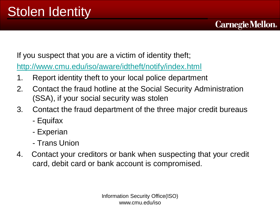If you suspect that you are a victim of identity theft;

<http://www.cmu.edu/iso/aware/idtheft/notify/index.html>

- 1. Report identity theft to your local police department
- 2. Contact the fraud hotline at the Social Security Administration (SSA), if your social security was stolen

- 3. Contact the fraud department of the three major credit bureaus
	- Equifax
	- Experian
	- Trans Union
- 4. Contact your creditors or bank when suspecting that your credit card, debit card or bank account is compromised.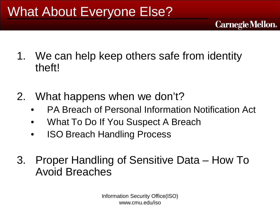## What About Everyone Else?

- 1. We can help keep others safe from identity theft!
- 2. What happens when we don't?
	- PA Breach of Personal Information Notification Act

- What To Do If You Suspect A Breach
- ISO Breach Handling Process
- 3. Proper Handling of Sensitive Data How To Avoid Breaches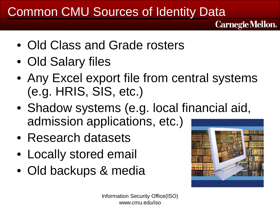### Common CMU Sources of Identity Data

- Old Class and Grade rosters
- Old Salary files
- Any Excel export file from central systems (e.g. HRIS, SIS, etc.)
- Shadow systems (e.g. local financial aid, admission applications, etc.)
- Research datasets
- Locally stored email
- Old backups & media

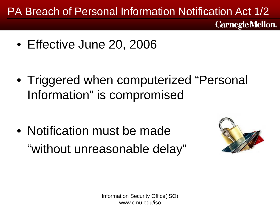### PA Breach of Personal Information Notification Act 1/2 **Carnegie Mellon.**

• Effective June 20, 2006

• Triggered when computerized "Personal Information" is compromised

• Notification must be made "without unreasonable delay"

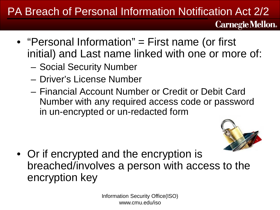### PA Breach of Personal Information Notification Act 2/2

- **Carnegie Mellon.**
- "Personal Information" = First name (or first initial) and Last name linked with one or more of:
	- Social Security Number
	- Driver's License Number
	- Financial Account Number or Credit or Debit Card Number with any required access code or password in un-encrypted or un-redacted form



• Or if encrypted and the encryption is breached/involves a person with access to the encryption key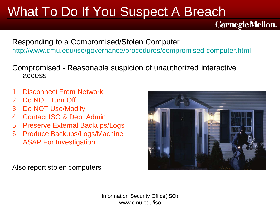## What To Do If You Suspect A Breach

Responding to a Compromised/Stolen Computer <http://www.cmu.edu/iso/governance/procedures/compromised-computer.html>

Compromised - Reasonable suspicion of unauthorized interactive access

- 1. Disconnect From Network
- 2. Do NOT Turn Off
- 3. Do NOT Use/Modify
- 4. Contact ISO & Dept Admin
- 5. Preserve External Backups/Logs
- 6. Produce Backups/Logs/Machine ASAP For Investigation



**Carnegie Mellon.** 

Also report stolen computers

Information Security Office(ISO) www.cmu.edu/iso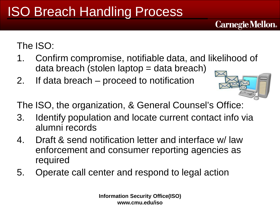## ISO Breach Handling Process

### The ISO:

- 1. Confirm compromise, notifiable data, and likelihood of data breach (stolen laptop = data breach)
- 2. If data breach proceed to notification



**Carnegie Mellon.** 

The ISO, the organization, & General Counsel's Office:

- 3. Identify population and locate current contact info via alumni records
- 4. Draft & send notification letter and interface w/ law enforcement and consumer reporting agencies as required
- 5. Operate call center and respond to legal action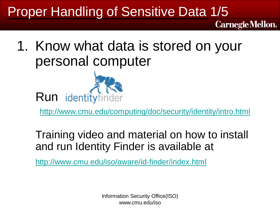## Proper Handling of Sensitive Data 1/5

1. Know what data is stored on your personal computer



<http://www.cmu.edu/computing/doc/security/identity/intro.html>

**Carnegie Mellon.** 

Training video and material on how to install and run Identity Finder is available at

<http://www.cmu.edu/iso/aware/id-finder/index.html>

Information Security Office(ISO) www.cmu.edu/iso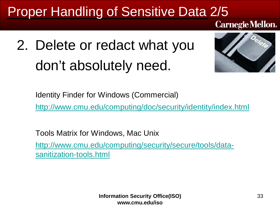## Proper Handling of Sensitive Data 2/5

**Carnegie Mellon.** 

# 2. Delete or redact what you don't absolutely need.



Identity Finder for Windows (Commercial)

<http://www.cmu.edu/computing/doc/security/identity/index.html>

Tools Matrix for Windows, Mac Unix [http://www.cmu.edu/computing/security/secure/tools/data](http://www.cmu.edu/computing/security/secure/tools/data-sanitization-tools.html)[sanitization-tools.html](http://www.cmu.edu/computing/security/secure/tools/data-sanitization-tools.html)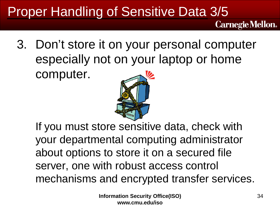## Proper Handling of Sensitive Data 3/5

**Carnegie Mellon.** 

3. Don't store it on your personal computer especially not on your laptop or home computer.



If you must store sensitive data, check with your departmental computing administrator about options to store it on a secured file server, one with robust access control mechanisms and encrypted transfer services.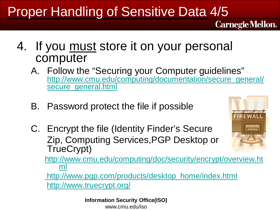## Proper Handling of Sensitive Data 4/5

- 4. If you must store it on your personal computer
	- A. Follow the "Securing your Computer guidelines" [http://www.cmu.edu/computing/documentation/secure\\_general/](http://www.cmu.edu/computing/documentation/secure_general/secure_general.html) [secure\\_general.html](http://www.cmu.edu/computing/documentation/secure_general/secure_general.html)
	- B. Password protect the file if possible
	- C. Encrypt the file (Identity Finder's Secure Zip, Computing Services,PGP Desktop or TrueCrypt)

[http://www.cmu.edu/computing/doc/security/encrypt/overview.ht](http://www.cmu.edu/computing/doc/security/encrypt/overview.html) [ml](http://www.cmu.edu/computing/doc/security/encrypt/overview.html)

[http://www.pgp.com/products/desktop\\_home/index.html](http://www.pgp.com/products/desktop_home/index.html) <http://www.truecrypt.org/>

> **Information Security Office(ISO)** www.cmu.edu/iso

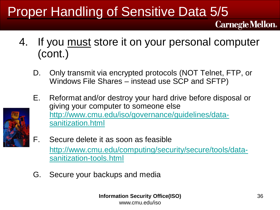## Proper Handling of Sensitive Data 5/5

- 4. If you must store it on your personal computer (cont.)
	- D. Only transmit via encrypted protocols (NOT Telnet, FTP, or Windows File Shares – instead use SCP and SFTP)
	- E. Reformat and/or destroy your hard drive before disposal or giving your computer to someone else [http://www.cmu.edu/iso/governance/guidelines/data](http://www.cmu.edu/iso/governance/guidelines/data-sanitization.html)[sanitization.html](http://www.cmu.edu/iso/governance/guidelines/data-sanitization.html)



- F. Secure delete it as soon as feasible [http://www.cmu.edu/computing/security/secure/tools/data](http://www.cmu.edu/computing/security/secure/tools/data-sanitization-tools.html)[sanitization-tools.html](http://www.cmu.edu/computing/security/secure/tools/data-sanitization-tools.html)
- G. Secure your backups and media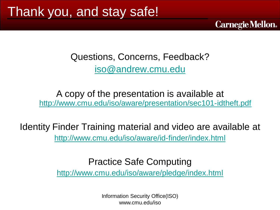Questions, Concerns, Feedback? [iso@andrew.cmu.edu](mailto:iso@andrew.cmu.edu)

**Carnegie Mellon.** 

A copy of the presentation is available at <http://www.cmu.edu/iso/aware/presentation/sec101-idtheft.pdf>

Identity Finder Training material and video are available at <http://www.cmu.edu/iso/aware/id-finder/index.html>

Practice Safe Computing

<http://www.cmu.edu/iso/aware/pledge/index.html>

Information Security Office(ISO) www.cmu.edu/iso